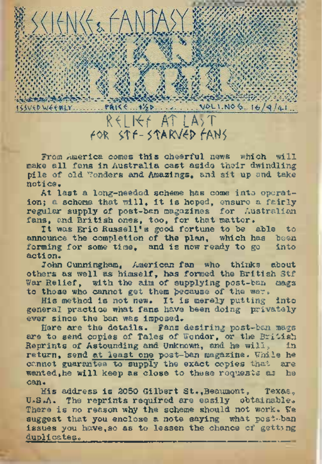

From America comes this cheerful news which will make all fans in Australia cast aside their dwindling pile of old 'Yonders and Amazings, and sit up and take notice.

At last a long-needed scheme has come into operation; a schema that will, it is hoped, ensure a fairly regular supply of post-ban magazines for Australian fans, and British ones, too, for that matter.

It was Eric Russell's good fortune to be able to announce the completion of the plan, which has been<br>forming for some time, and is now ready to go into forming for some time, and is now ready to go acti on.

John Cunningham, American fan who thinks about others as well as himself, has formed the British Stf War Relief, with the aim of supplying post-ban mags to those who cannot get them because of the war.

His method is not new. It is merely putting into general practice what fans have been doing privately ever since the ban was imposed.

Here are the details. Fans desiring post-ban mags are to send copies of Tales of Wonder, or the British<br>Reprints of Astounding and Unknown, and he will, in Reprints of Astounding and Unknown, and he will, return, send at least one post-ban magazine. While he cannot guarantee to supply the exact copies that are mented to supply the exact copies that are wanted, he will keep as close to these requests as can.

His address is 2050 Gilbert St., Beaumont, Texas. U.S.A. The reprints required are easily obtainable. There is no reason why the scheme should not work. We suggest that you enclose a note saying what post-ban issues you have, so as to lessen the chance of getting duplicates.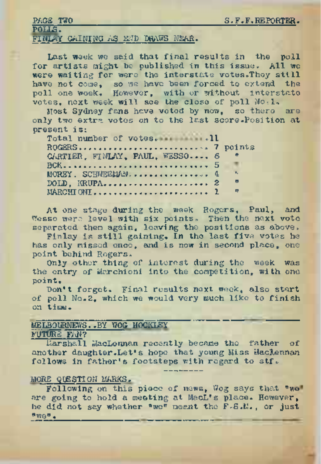#### PAGE TWO POLLS. FINLAY GAINING AS KID DRAWS NEAR.

Last week we said that final results in the poll for artists might be published in this issue. All we were waiting for were the interstate votes. They still have not come, so we have been forced to extend, the poll one week. However, with or without interstate votes, next week will see the close of poll No.1.

Most Sydney fans have voted by now, so there are only two extra votes on to the last score.Position at present is:

Total number of votes. .11 Moreous, so we have been foreing to the compact to the conditions, and the set all non-wook, However, with or without is.<br>Example the condition of points of points of points of the set is some set is some set is.<br>Total num CARTIER, FINLAY, PAUL, WESSO.... 6 BCK............................................................. .... <sup>5</sup> MOREY, SCHNEEMAN................................. .. <sup>4</sup> '■ DOLD, KRUPA............................................ ... <sup>2</sup> " MARCH!ONI............................. .. ..................... 1 "

At one stage during the week Rogers, Paul, and Wesso were level with six points. Then the next vote separated them again, leaving the positions as above,

Finlay is still gaining. In the last five votes he has only missed once, and is now in second place, one point behind Rogers.

Only other thing of interest during the week was the entry of Marchioni into the competition, with one point.

Don't forget. Final results next week, also start of poll No.2, which we would very much like to finish on time..

## MELBOURNEWS. . BY WOG HOCKLEY

### FUTURE FAN?

Marshall MacLennan recently became the father of another daughter-Let's hope that young Miss Haclennan follows in father's footsteps with regard to stf.

#### <sup>M</sup>ORE QUESTION MARKS.

Following on this piece of news, Wog says that "we" are going to hold a meeting at MacL's place. However, he did not say whether "we" meant the F-S.M., or just ttwe" <sup>o</sup>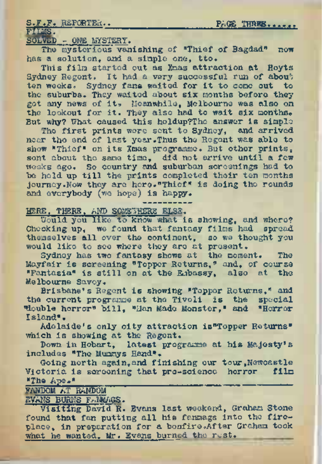S.F.F. REPORTER.. PA® THWBK---------

FIMS.<br>SOLVED - ONE LYSTERY.

The mysterious vanishing of "Thief of Bagdad" now has a solution, and a simple one, tto.

This film started out as Xmas attraction at Hoyts Sydney Regent. It had a very successful run of about ten weeks. Sydney fans waited for it to come out to the suburbs. They waited about six months before they got any news of it. Meanwhile, Melbourne was also on<br>the lookout for it. They also had to wait six months. But why? What caused this holdup?Tho answer is simple

The first prints were sent to Sydney, and arrived near the end of last year.Thus the Regent was able to show "Thief" on its Xmas programme. But other prints, sent about the same time, did not arrive until a few be held up till the prints completed their ten months Journey.Now they are here."Thief" is doing the rounds and everybody (we hope) is happy.

HERE, THERE, AND SOMEWHERE ELSE.

Would you like to know what is showing, and where? Checking up, we found that fantasy films had spread themselves all over the continent, so we thought you would like to see where they are at present.

Sydney has two fantasy shows at the moment. The Mayfair is screening "Topper Returns," and, of course "Fantasia" is still on at the Embassy, also at the Melbourne Savoy.

Brisbane's Regent is showing "Topper Returns," and the current programme at the Tivoli is the special "double horror" bill, "Man Made Monster," and "Horror Island".

Adelaide's only city attraction is"Topper Returns" which is showing at the Regent.

Down in Hobart, latest programme at his Majesty's includes "The Munmys Hand".

Going north again,and finishing our tour,Newcastle Victoria is screening that pro-science horror film "The  $A$ pe."

FANDOM AT RANDOM

EVANS BURNS F.NMAGS.

Visiting David R. Evans last weekend, Graham Stone found that fan putting all his fanmags into the fire-place, in preparation for a bonfire.After Graham took what he wanted, Mr. Evans burned the rest.